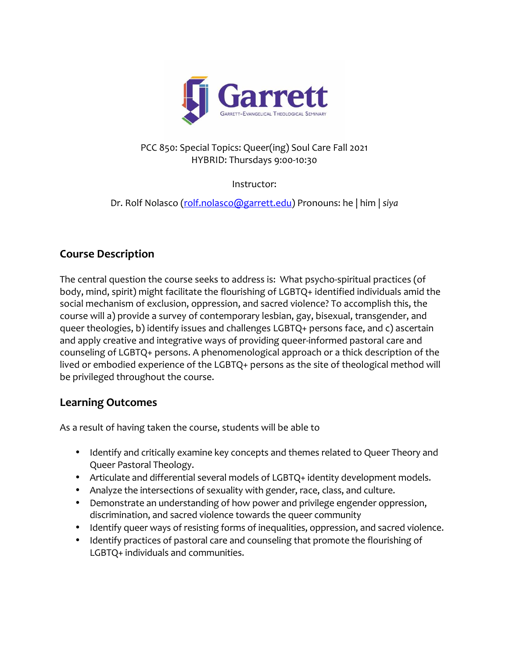

### PCC 850: Special Topics: Queer(ing) Soul Care Fall 2021 HYBRID: Thursdays 9:00-10:30

Instructor:

Dr. Rolf Nolasco (rolf.nolasco@garrett.edu) Pronouns: he | him | *siya*

# **Course Description**

The central question the course seeks to address is: What psycho-spiritual practices (of body, mind, spirit) might facilitate the flourishing of LGBTQ+ identified individuals amid the social mechanism of exclusion, oppression, and sacred violence? To accomplish this, the course will a) provide a survey of contemporary lesbian, gay, bisexual, transgender, and queer theologies, b) identify issues and challenges LGBTQ+ persons face, and c) ascertain and apply creative and integrative ways of providing queer-informed pastoral care and counseling of LGBTQ+ persons. A phenomenological approach or a thick description of the lived or embodied experience of the LGBTQ+ persons as the site of theological method will be privileged throughout the course.

## **Learning Outcomes**

As a result of having taken the course, students will be able to

- Identify and critically examine key concepts and themes related to Queer Theory and Queer Pastoral Theology.
- Articulate and differential several models of LGBTQ+ identity development models.
- Analyze the intersections of sexuality with gender, race, class, and culture.
- Demonstrate an understanding of how power and privilege engender oppression, discrimination, and sacred violence towards the queer community
- Identify queer ways of resisting forms of inequalities, oppression, and sacred violence.
- Identify practices of pastoral care and counseling that promote the flourishing of LGBTQ+ individuals and communities.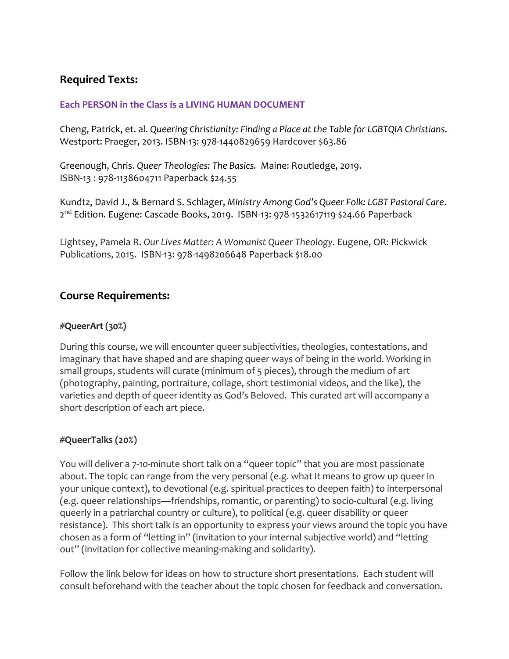## **Required Texts:**

#### **Each PERSON in the Class is a LIVING HUMAN DOCUMENT**

Cheng, Patrick, et. al. *Queering Christianity: Finding a Place at the Table for LGBTQIA Christians*. Westport: Praeger, 2013. ISBN-13: 978-1440829659 Hardcover \$63.86

Greenough, Chris. *Queer Theologies: The Basics.* Maine: Routledge, 2019. ISBN-13 : 978-1138604711 Paperback \$24.55

Kundtz, David J., & Bernard S. Schlager, *Ministry Among God's Queer Folk: LGBT Pastoral Care*. 2<sup>nd</sup> Edition. Eugene: Cascade Books, 2019. ISBN-13: 978-1532617119 \$24.66 Paperback

Lightsey, Pamela R. *Our Lives Matter: A Womanist Queer Theology*. Eugene, OR: Pickwick Publications, 2015. ISBN-13: 978-1498206648 Paperback \$18.00

## **Course Requirements:**

#### **#QueerArt (30%)**

During this course, we will encounter queer subjectivities, theologies, contestations, and imaginary that have shaped and are shaping queer ways of being in the world. Working in small groups, students will curate (minimum of 5 pieces), through the medium of art (photography, painting, portraiture, collage, short testimonial videos, and the like), the varieties and depth of queer identity as God's Beloved. This curated art will accompany a short description of each art piece.

### **#QueerTalks (20%)**

You will deliver a 7-10-minute short talk on a "queer topic" that you are most passionate about. The topic can range from the very personal (e.g. what it means to grow up queer in your unique context), to devotional (e.g. spiritual practices to deepen faith) to interpersonal (e.g. queer relationships—friendships, romantic, or parenting) to socio-cultural (e.g. living queerly in a patriarchal country or culture), to political (e.g. queer disability or queer resistance). This short talk is an opportunity to express your views around the topic you have chosen as a form of "letting in" (invitation to your internal subjective world) and "letting out" (invitation for collective meaning-making and solidarity).

Follow the link below for ideas on how to structure short presentations. Each student will consult beforehand with the teacher about the topic chosen for feedback and conversation.